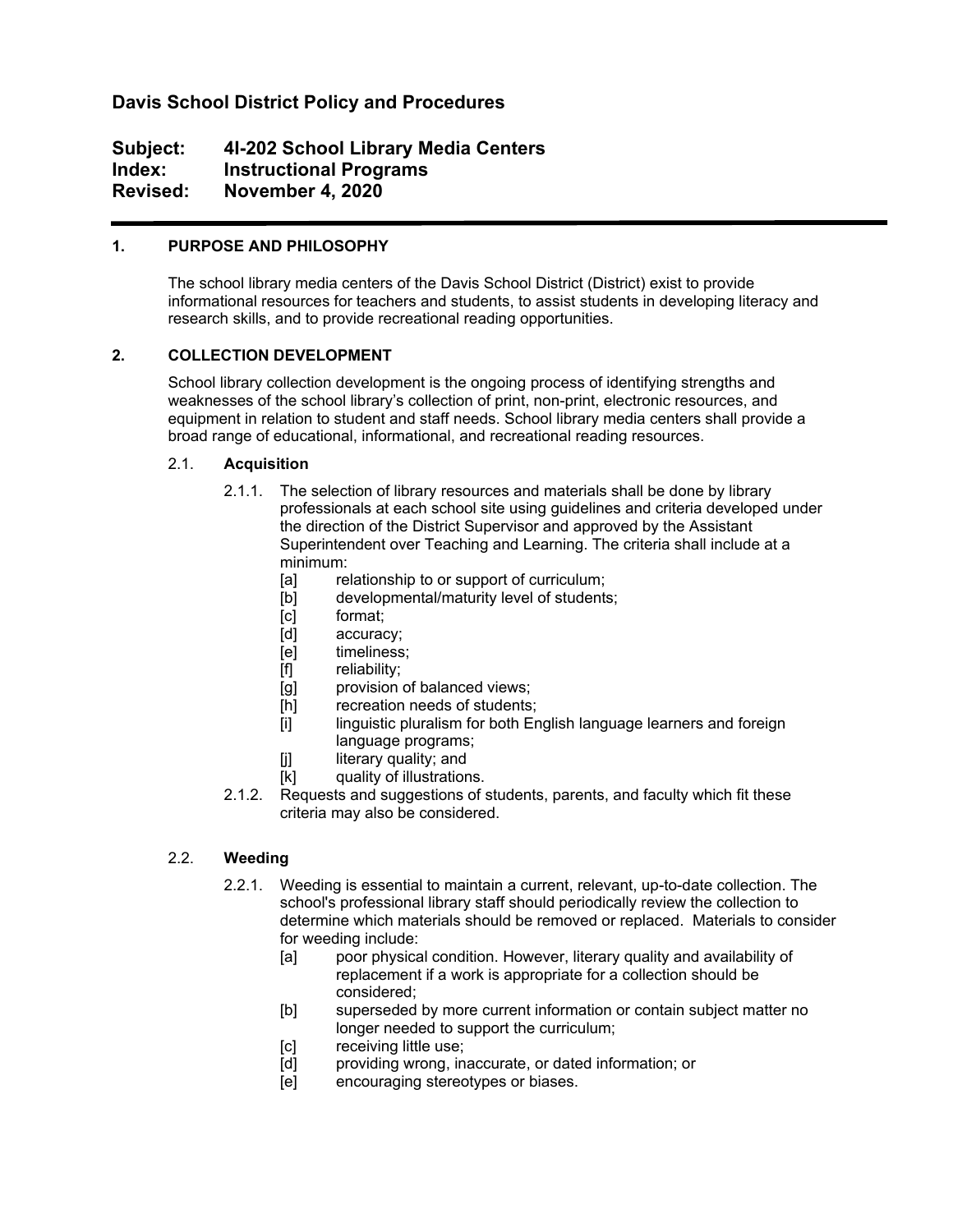# **Davis School District Policy and Procedures**

# **Subject: 4I-202 School Library Media Centers Index: Instructional Programs Revised: November 4, 2020**

## **1. PURPOSE AND PHILOSOPHY**

The school library media centers of the Davis School District (District) exist to provide informational resources for teachers and students, to assist students in developing literacy and research skills, and to provide recreational reading opportunities.

## **2. COLLECTION DEVELOPMENT**

School library collection development is the ongoing process of identifying strengths and weaknesses of the school library's collection of print, non-print, electronic resources, and equipment in relation to student and staff needs. School library media centers shall provide a broad range of educational, informational, and recreational reading resources.

## 2.1. **Acquisition**

- 2.1.1. The selection of library resources and materials shall be done by library professionals at each school site using guidelines and criteria developed under the direction of the District Supervisor and approved by the Assistant Superintendent over Teaching and Learning. The criteria shall include at a minimum:
	- [a] relationship to or support of curriculum;
	- [b] developmental/maturity level of students;
	- [c] format;
	- [d] accuracy;
	- [e] timeliness;
	- [f] reliability;
	- [g] provision of balanced views;
	- [h] recreation needs of students;
	- [i] linguistic pluralism for both English language learners and foreign language programs;
	- [j] literary quality; and
	- [k] quality of illustrations.
- 2.1.2. Requests and suggestions of students, parents, and faculty which fit these criteria may also be considered.

## 2.2. **Weeding**

- 2.2.1. Weeding is essential to maintain a current, relevant, up-to-date collection. The school's professional library staff should periodically review the collection to determine which materials should be removed or replaced. Materials to consider for weeding include:
	- [a] poor physical condition. However, literary quality and availability of replacement if a work is appropriate for a collection should be considered;
	- [b] superseded by more current information or contain subject matter no longer needed to support the curriculum;
	- [c] receiving little use;
	- [d] providing wrong, inaccurate, or dated information; or
	- [e] encouraging stereotypes or biases.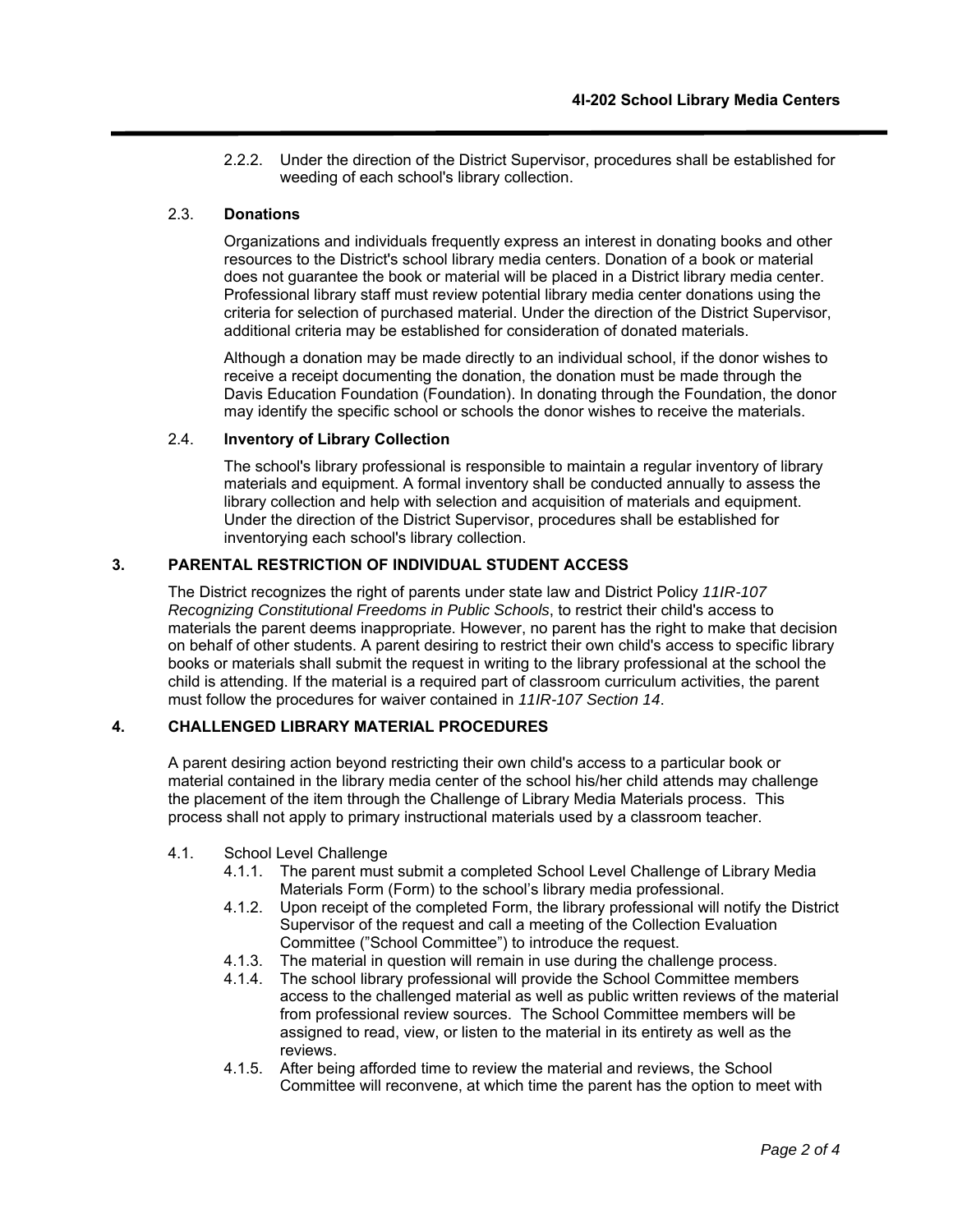2.2.2. Under the direction of the District Supervisor, procedures shall be established for weeding of each school's library collection.

#### 2.3. **Donations**

Organizations and individuals frequently express an interest in donating books and other resources to the District's school library media centers. Donation of a book or material does not guarantee the book or material will be placed in a District library media center. Professional library staff must review potential library media center donations using the criteria for selection of purchased material. Under the direction of the District Supervisor, additional criteria may be established for consideration of donated materials.

Although a donation may be made directly to an individual school, if the donor wishes to receive a receipt documenting the donation, the donation must be made through the Davis Education Foundation (Foundation). In donating through the Foundation, the donor may identify the specific school or schools the donor wishes to receive the materials.

#### 2.4. **Inventory of Library Collection**

The school's library professional is responsible to maintain a regular inventory of library materials and equipment. A formal inventory shall be conducted annually to assess the library collection and help with selection and acquisition of materials and equipment. Under the direction of the District Supervisor, procedures shall be established for inventorying each school's library collection.

## **3. PARENTAL RESTRICTION OF INDIVIDUAL STUDENT ACCESS**

The District recognizes the right of parents under state law and District Policy *11IR-107 Recognizing Constitutional Freedoms in Public Schools*, to restrict their child's access to materials the parent deems inappropriate. However, no parent has the right to make that decision on behalf of other students. A parent desiring to restrict their own child's access to specific library books or materials shall submit the request in writing to the library professional at the school the child is attending. If the material is a required part of classroom curriculum activities, the parent must follow the procedures for waiver contained in *11IR-107 Section 14*.

## **4. CHALLENGED LIBRARY MATERIAL PROCEDURES**

A parent desiring action beyond restricting their own child's access to a particular book or material contained in the library media center of the school his/her child attends may challenge the placement of the item through the Challenge of Library Media Materials process. This process shall not apply to primary instructional materials used by a classroom teacher.

- 4.1. School Level Challenge
	- 4.1.1. The parent must submit a completed School Level Challenge of Library Media Materials Form (Form) to the school's library media professional.
	- 4.1.2. Upon receipt of the completed Form, the library professional will notify the District Supervisor of the request and call a meeting of the Collection Evaluation Committee ("School Committee") to introduce the request.
	- 4.1.3. The material in question will remain in use during the challenge process.
	- 4.1.4. The school library professional will provide the School Committee members access to the challenged material as well as public written reviews of the material from professional review sources. The School Committee members will be assigned to read, view, or listen to the material in its entirety as well as the reviews.
	- 4.1.5. After being afforded time to review the material and reviews, the School Committee will reconvene, at which time the parent has the option to meet with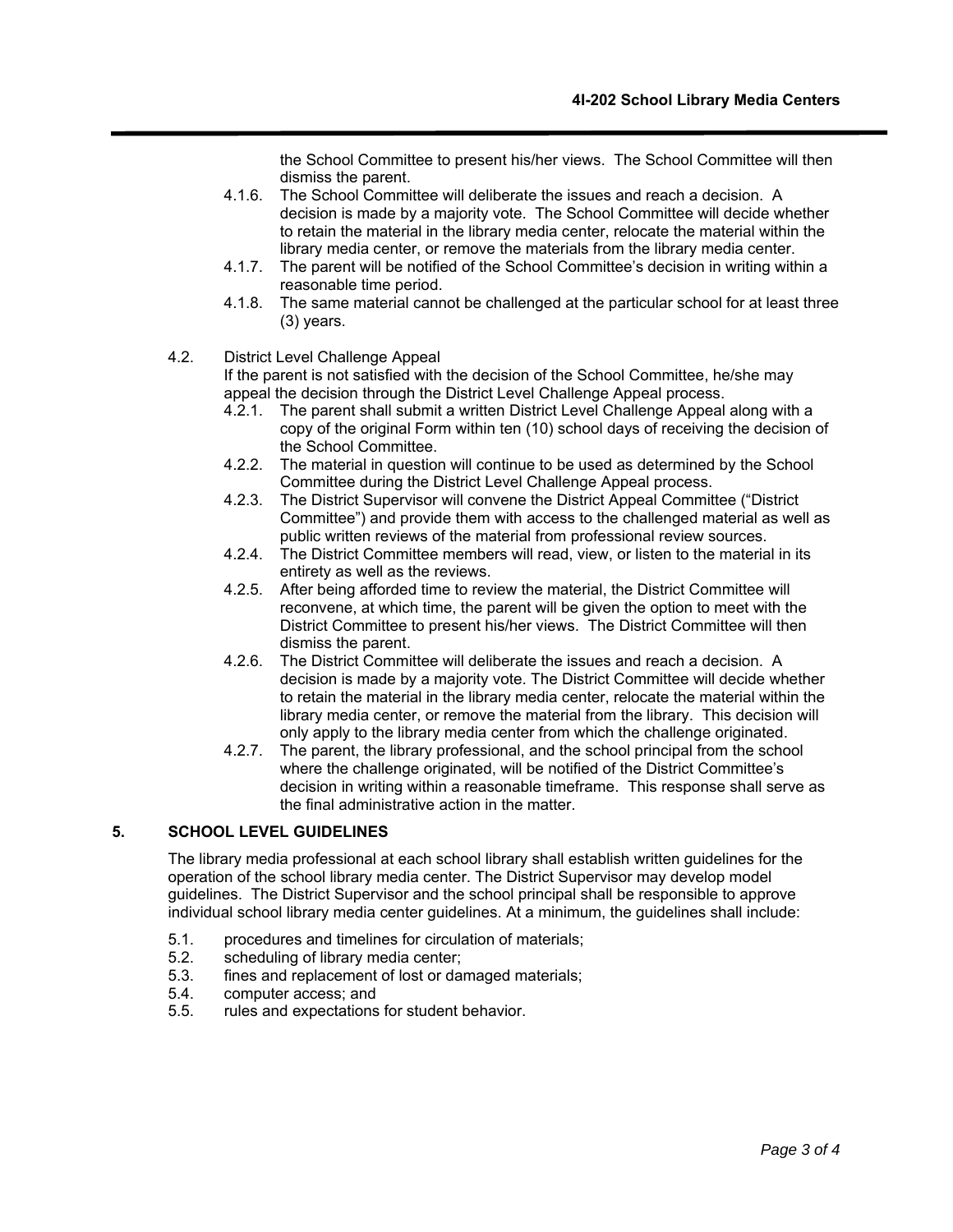the School Committee to present his/her views. The School Committee will then dismiss the parent.

- 4.1.6. The School Committee will deliberate the issues and reach a decision. A decision is made by a majority vote. The School Committee will decide whether to retain the material in the library media center, relocate the material within the library media center, or remove the materials from the library media center.
- 4.1.7. The parent will be notified of the School Committee's decision in writing within a reasonable time period.
- 4.1.8. The same material cannot be challenged at the particular school for at least three (3) years.
- 4.2. District Level Challenge Appeal

If the parent is not satisfied with the decision of the School Committee, he/she may appeal the decision through the District Level Challenge Appeal process.

- 4.2.1. The parent shall submit a written District Level Challenge Appeal along with a copy of the original Form within ten (10) school days of receiving the decision of the School Committee.
- 4.2.2. The material in question will continue to be used as determined by the School Committee during the District Level Challenge Appeal process.
- 4.2.3. The District Supervisor will convene the District Appeal Committee ("District Committee") and provide them with access to the challenged material as well as public written reviews of the material from professional review sources.
- 4.2.4. The District Committee members will read, view, or listen to the material in its entirety as well as the reviews.
- 4.2.5. After being afforded time to review the material, the District Committee will reconvene, at which time, the parent will be given the option to meet with the District Committee to present his/her views. The District Committee will then dismiss the parent.
- 4.2.6. The District Committee will deliberate the issues and reach a decision. A decision is made by a majority vote. The District Committee will decide whether to retain the material in the library media center, relocate the material within the library media center, or remove the material from the library. This decision will only apply to the library media center from which the challenge originated.
- 4.2.7. The parent, the library professional, and the school principal from the school where the challenge originated, will be notified of the District Committee's decision in writing within a reasonable timeframe. This response shall serve as the final administrative action in the matter.

### **5. SCHOOL LEVEL GUIDELINES**

The library media professional at each school library shall establish written guidelines for the operation of the school library media center. The District Supervisor may develop model guidelines. The District Supervisor and the school principal shall be responsible to approve individual school library media center guidelines. At a minimum, the guidelines shall include:

- 5.1. procedures and timelines for circulation of materials;
- 5.2. scheduling of library media center;
- 5.3. fines and replacement of lost or damaged materials;
- 5.4. computer access; and
- 5.5. rules and expectations for student behavior.